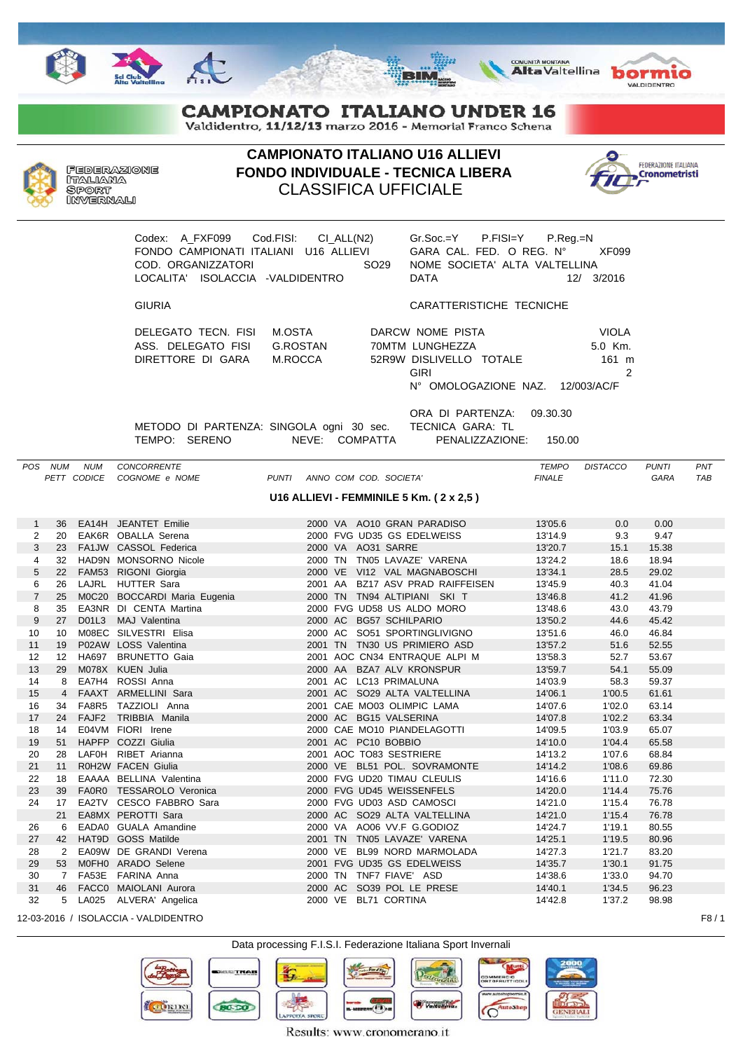







## **CAMPIONATO ITALIANO UNDER 16**

Valdidentro, 11/12/13 marzo 2016 - Memorial Franco Schena



**CAMPIONATO ITALIANO U16 ALLIEVI FONDO INDIVIDUALE - TECNICA LIBERA** CLASSIFICA UFFICIALE



Codex: A\_FXF099 Cod.FISI: CI\_ALL(N2) Gr.Soc.=Y P.FISI=Y P.Reg.=N FONDO CAMPIONATI ITALIANI U16 ALLIEVI GARA CAL. FED. O REG. N° XF099 COD. ORGANIZZATORI NOMES SO29 LOCALITA' ISOLACCIA -VALDIDENTRO

DELEGATO TECN. FISI M.OSTA ASS. DELEGATO FISI G.ROSTAN DIRETTORE DI GARA M.ROCCA 52

|      |  |  | $Gr.SOC = Y$ P.FISI= $Y$ P.Req.=N |                                         |
|------|--|--|-----------------------------------|-----------------------------------------|
|      |  |  |                                   | GARA CAL. FED. O REG. $N^{\circ}$ XF099 |
|      |  |  | NOME SOCIETA' ALTA VALTELLINA     |                                         |
| DATA |  |  |                                   | 12/ 3/2016                              |
|      |  |  |                                   |                                         |

## GIURIA CARATTERISTICHE TECNICHE

| DARCW NOME PISTA                 | VIOLA   |
|----------------------------------|---------|
| 70MTM LUNGHEZZA                  | 5.0 Km. |
| 52R9W DISLIVELLO TOTALE          | 161 m   |
| GIRI                             | 2       |
| N° OMOLOGAZIONE NAZ. 12/003/AC/F |         |
|                                  |         |

ORA DI PARTENZA: 09.30.30 METODO DI PARTENZA: SINGOLA ogni 30 sec. TECNICA GARA: TL TEMPO: SERENO NEVE: COMPATTA PENALIZZAZIONE: 150.00

*POS NUM NUM CONCORRENTE TEMPO DISTACCO PUNTI PNT PETT CODICE COGNOME e NOME PUNTI ANNO COM COD. SOCIETA' FINALE GARA TAB* **U16 ALLIEVI - FEMMINILE 5 Km. ( 2 x 2,5 )**

| 1              | 36               |                   | EA14H JEANTET Emilie         |                      | 2000 VA AO10 GRAN PARADISO       | 13'05.6 | 0.0    | 0.00  |
|----------------|------------------|-------------------|------------------------------|----------------------|----------------------------------|---------|--------|-------|
| 2              | 20               |                   | EAK6R OBALLA Serena          |                      | 2000 FVG UD35 GS EDELWEISS       | 13'14.9 | 9.3    | 9.47  |
| 3              | 23               |                   | FA1JW CASSOL Federica        | 2000 VA AO31 SARRE   |                                  | 13'20.7 | 15.1   | 15.38 |
| 4              | 32               |                   | HAD9N MONSORNO Nicole        |                      | 2000 TN TN05 LAVAZE' VARENA      | 13'24.2 | 18.6   | 18.94 |
| 5              | 22               |                   | FAM53 RIGONI Giorgia         |                      | 2000 VE VI12 VAL MAGNABOSCHI     | 13'34.1 | 28.5   | 29.02 |
| 6              | 26               |                   | LAJRL HUTTER Sara            |                      | 2001 AA BZ17 ASV PRAD RAIFFEISEN | 13'45.9 | 40.3   | 41.04 |
| $\overline{7}$ | 25               |                   | M0C20 BOCCARDI Maria Eugenia |                      | 2000 TN TN94 ALTIPIANI SKI T     | 13'46.8 | 41.2   | 41.96 |
| 8              | 35               |                   | EA3NR DI CENTA Martina       |                      | 2000 FVG UD58 US ALDO MORO       | 13'48.6 | 43.0   | 43.79 |
| 9              | 27               |                   | D01L3 MAJ Valentina          |                      | 2000 AC BG57 SCHILPARIO          | 13'50.2 | 44.6   | 45.42 |
| 10             | 10               |                   | M08EC SILVESTRI Elisa        |                      | 2000 AC SO51 SPORTINGLIVIGNO     | 13'51.6 | 46.0   | 46.84 |
| 11             | 19               |                   | P02AW LOSS Valentina         |                      | 2001 TN TN30 US PRIMIERO ASD     | 13'57.2 | 51.6   | 52.55 |
| 12             | 12 <sup>12</sup> |                   | HA697 BRUNETTO Gaia          |                      | 2001 AOC CN34 ENTRAQUE ALPI M    | 13'58.3 | 52.7   | 53.67 |
| 13             | 29               |                   | M078X KUEN Julia             |                      | 2000 AA BZA7 ALV KRONSPUR        | 13'59.7 | 54.1   | 55.09 |
| 14             | 8                |                   | EA7H4 ROSSI Anna             |                      | 2001 AC LC13 PRIMALUNA           | 14'03.9 | 58.3   | 59.37 |
| 15             |                  |                   | 4 FAAXT ARMELLINI Sara       |                      | 2001 AC SO29 ALTA VALTELLINA     | 14'06.1 | 1'00.5 | 61.61 |
| 16             | 34               | FA8R5             | TAZZIOLI Anna                |                      | 2001 CAE MO03 OLIMPIC LAMA       | 14'07.6 | 1'02.0 | 63.14 |
| 17             | 24               | FAJF <sub>2</sub> | TRIBBIA Manila               |                      | 2000 AC BG15 VALSERINA           | 14'07.8 | 1'02.2 | 63.34 |
| 18             | 14               |                   | E04VM FIORI Irene            |                      | 2000 CAE MO10 PIANDELAGOTTI      | 14'09.5 | 1'03.9 | 65.07 |
| 19             | 51               |                   | HAPFP COZZI Giulia           | 2001 AC PC10 BOBBIO  |                                  | 14'10.0 | 1'04.4 | 65.58 |
| 20             | 28               |                   | LAFOH RIBET Arianna          |                      | 2001 AOC TO83 SESTRIERE          | 14'13.2 | 1'07.6 | 68.84 |
| 21             | 11               |                   | R0H2W FACEN Giulia           |                      | 2000 VE BL51 POL. SOVRAMONTE     | 14'14.2 | 1'08.6 | 69.86 |
| 22             | 18               |                   | EAAAA BELLINA Valentina      |                      | 2000 FVG UD20 TIMAU CLEULIS      | 14'16.6 | 1'11.0 | 72.30 |
| 23             | 39               |                   | FA0R0 TESSAROLO Veronica     |                      | 2000 FVG UD45 WEISSENFELS        | 14'20.0 | 1'14.4 | 75.76 |
| 24             | 17               |                   | EA2TV CESCO FABBRO Sara      |                      | 2000 FVG UD03 ASD CAMOSCI        | 14'21.0 | 1'15.4 | 76.78 |
|                | 21               |                   | EA8MX PEROTTI Sara           |                      | 2000 AC SO29 ALTA VALTELLINA     | 14'21.0 | 1'15.4 | 76.78 |
| 26             | -6               |                   | EADA0 GUALA Amandine         |                      | 2000 VA AO06 VV.F G.GODIOZ       | 14'24.7 | 1'19.1 | 80.55 |
| 27             | 42               |                   | HAT9D GOSS Matilde           |                      | 2001 TN TN05 LAVAZE' VARENA      | 14'25.1 | 1'19.5 | 80.96 |
| 28             | 2                |                   | EA09W DE GRANDI Verena       |                      | 2000 VE BL99 NORD MARMOLADA      | 14'27.3 | 1'21.7 | 83.20 |
| 29             | 53               |                   | M0FH0 ARADO Selene           |                      | 2001 FVG UD35 GS EDELWEISS       | 14'35.7 | 1'30.1 | 91.75 |
| 30             | $\overline{7}$   |                   | FA53E FARINA Anna            |                      | 2000 TN TNF7 FIAVE' ASD          | 14'38.6 | 1'33.0 | 94.70 |
| 31             | 46               |                   | FACCO MAIOLANI Aurora        |                      | 2000 AC SO39 POL LE PRESE        | 14'40.1 | 1'34.5 | 96.23 |
| 32             |                  |                   | 5 LA025 ALVERA' Angelica     | 2000 VE BL71 CORTINA |                                  | 14'42.8 | 1'37.2 | 98.98 |

12-03-2016 / ISOLACCIA - VALDIDENTRO F8 / 1



TRAB  $0.500$ 

Results: www.cronomerano.it